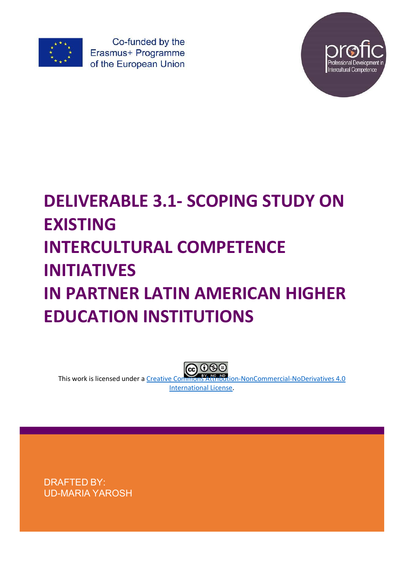

Co-funded by the Erasmus+ Programme of the European Union



# **DELIVERABLE 3.1- SCOPING STUDY ON EXISTING INTERCULTURAL COMPETENCE INITIATIVES IN PARTNER LATIN AMERICAN HIGHER EDUCATION INSTITUTIONS**

This work is licensed under a Creative Commons Attribution-NonCommercial-NoDerivatives 4.0 International License.

DRAFTED BY: UD-MARIA YAROSH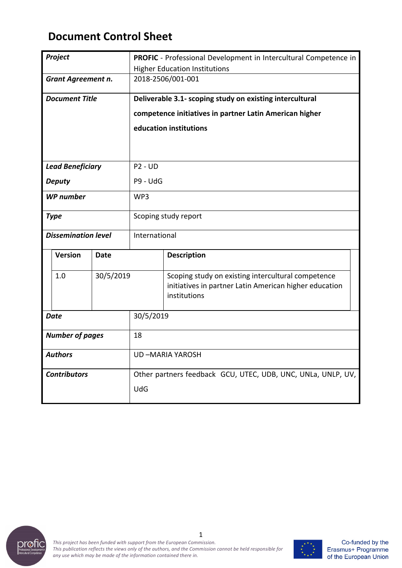# **Document Control Sheet**

|                           | Project                    |                                                              |                                                         | PROFIC - Professional Development in Intercultural Competence in                                                             |  |  |
|---------------------------|----------------------------|--------------------------------------------------------------|---------------------------------------------------------|------------------------------------------------------------------------------------------------------------------------------|--|--|
|                           |                            | <b>Higher Education Institutions</b>                         |                                                         |                                                                                                                              |  |  |
| <b>Grant Agreement n.</b> |                            | 2018-2506/001-001                                            |                                                         |                                                                                                                              |  |  |
|                           | <b>Document Title</b>      |                                                              |                                                         | Deliverable 3.1- scoping study on existing intercultural                                                                     |  |  |
|                           |                            |                                                              | competence initiatives in partner Latin American higher |                                                                                                                              |  |  |
|                           |                            |                                                              | education institutions                                  |                                                                                                                              |  |  |
|                           |                            |                                                              |                                                         |                                                                                                                              |  |  |
|                           |                            |                                                              |                                                         |                                                                                                                              |  |  |
| <b>Lead Beneficiary</b>   |                            | <b>P2 - UD</b>                                               |                                                         |                                                                                                                              |  |  |
| <b>Deputy</b>             |                            | P9 - UdG                                                     |                                                         |                                                                                                                              |  |  |
| <b>WP</b> number          |                            | WP3                                                          |                                                         |                                                                                                                              |  |  |
|                           | <b>Type</b>                |                                                              | Scoping study report                                    |                                                                                                                              |  |  |
|                           | <b>Dissemination level</b> |                                                              | International                                           |                                                                                                                              |  |  |
|                           | <b>Version</b>             | <b>Date</b>                                                  |                                                         | <b>Description</b>                                                                                                           |  |  |
|                           | 1.0                        | 30/5/2019                                                    |                                                         | Scoping study on existing intercultural competence<br>initiatives in partner Latin American higher education<br>institutions |  |  |
| <b>Date</b>               |                            | 30/5/2019                                                    |                                                         |                                                                                                                              |  |  |
| <b>Number of pages</b>    |                            | 18                                                           |                                                         |                                                                                                                              |  |  |
| <b>Authors</b>            |                            | <b>UD-MARIA YAROSH</b>                                       |                                                         |                                                                                                                              |  |  |
| <b>Contributors</b>       |                            | Other partners feedback GCU, UTEC, UDB, UNC, UNLa, UNLP, UV, |                                                         |                                                                                                                              |  |  |
|                           |                            | <b>UdG</b>                                                   |                                                         |                                                                                                                              |  |  |



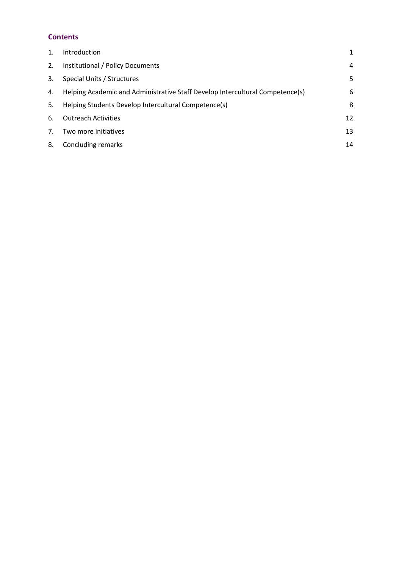# **Contents**

| 1. | Introduction                                                                  | 1  |
|----|-------------------------------------------------------------------------------|----|
| 2. | Institutional / Policy Documents                                              | 4  |
| 3. | Special Units / Structures                                                    | 5  |
| 4. | Helping Academic and Administrative Staff Develop Intercultural Competence(s) | 6  |
| 5. | Helping Students Develop Intercultural Competence(s)                          | 8  |
| 6. | <b>Outreach Activities</b>                                                    | 12 |
| 7. | Two more initiatives                                                          | 13 |
| 8. | Concluding remarks                                                            | 14 |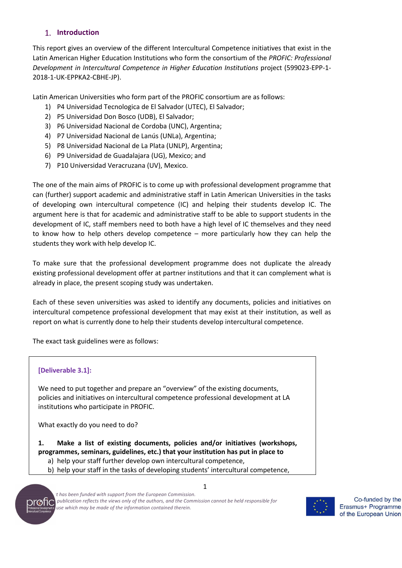# **Introduction**

This report gives an overview of the different Intercultural Competence initiatives that exist in the Latin American Higher Education Institutions who form the consortium of the *PROFIC: Professional Development in Intercultural Competence in Higher Education Institutions* project (599023-EPP-1- 2018-1-UK-EPPKA2-CBHE-JP).

Latin American Universities who form part of the PROFIC consortium are as follows:

- 1) P4 Universidad Tecnologica de El Salvador (UTEC), El Salvador;
- 2) P5 Universidad Don Bosco (UDB), El Salvador;
- 3) P6 Universidad Nacional de Cordoba (UNC), Argentina;
- 4) P7 Universidad Nacional de Lanús (UNLa), Argentina;
- 5) P8 Universidad Nacional de La Plata (UNLP), Argentina;
- 6) P9 Universidad de Guadalajara (UG), Mexico; and
- 7) P10 Universidad Veracruzana (UV), Mexico.

The one of the main aims of PROFIC is to come up with professional development programme that can (further) support academic and administrative staff in Latin American Universities in the tasks of developing own intercultural competence (IC) and helping their students develop IC. The argument here is that for academic and administrative staff to be able to support students in the development of IC, staff members need to both have a high level of IC themselves and they need to know how to help others develop competence – more particularly how they can help the students they work with help develop IC.

To make sure that the professional development programme does not duplicate the already existing professional development offer at partner institutions and that it can complement what is already in place, the present scoping study was undertaken.

Each of these seven universities was asked to identify any documents, policies and initiatives on intercultural competence professional development that may exist at their institution, as well as report on what is currently done to help their students develop intercultural competence.

The exact task guidelines were as follows:

#### **[Deliverable 3.1]:**

We need to put together and prepare an "overview" of the existing documents, policies and initiatives on intercultural competence professional development at LA institutions who participate in PROFIC.

What exactly do you need to do?

**1. Make a list of existing documents, policies and/or initiatives (workshops, programmes, seminars, guidelines, etc.) that your institution has put in place to**

- a) help your staff further develop own intercultural competence,
- b) help your staff in the tasks of developing students' intercultural competence,



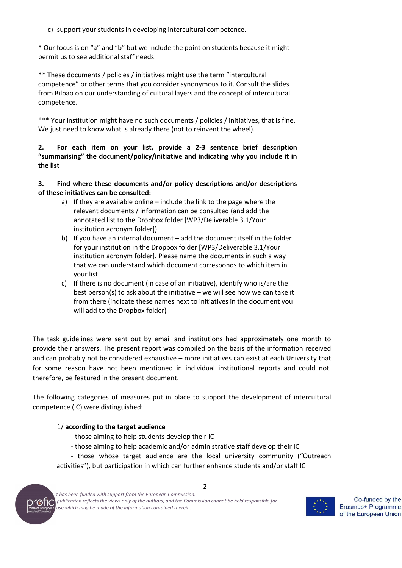c) support your students in developing intercultural competence.

\* Our focus is on "a" and "b" but we include the point on students because it might permit us to see additional staff needs.

\*\* These documents / policies / initiatives might use the term "intercultural competence" or other terms that you consider synonymous to it. Consult the slides from Bilbao on our understanding of cultural layers and the concept of intercultural competence.

\*\*\* Your institution might have no such documents / policies / initiatives, that is fine. We just need to know what is already there (not to reinvent the wheel).

**2. For each item on your list, provide a 2-3 sentence brief description "summarising" the document/policy/initiative and indicating why you include it in the list**

**3. Find where these documents and/or policy descriptions and/or descriptions of these initiatives can be consulted:**

- a) If they are available online include the link to the page where the relevant documents / information can be consulted (and add the annotated list to the Dropbox folder [WP3/Deliverable 3.1/Your institution acronym folder])
- b) If you have an internal document add the document itself in the folder for your institution in the Dropbox folder [WP3/Deliverable 3.1/Your institution acronym folder]. Please name the documents in such a way that we can understand which document corresponds to which item in your list.
- c) If there is no document (in case of an initiative), identify who is/are the best person(s) to ask about the initiative – we will see how we can take it from there (indicate these names next to initiatives in the document you will add to the Dropbox folder)

The task guidelines were sent out by email and institutions had approximately one month to provide their answers. The present report was compiled on the basis of the information received and can probably not be considered exhaustive – more initiatives can exist at each University that for some reason have not been mentioned in individual institutional reports and could not, therefore, be featured in the present document.

The following categories of measures put in place to support the development of intercultural competence (IC) were distinguished:

#### 1/ **according to the target audience**

- those aiming to help students develop their IC
- those aiming to help academic and/or administrative staff develop their IC
- those whose target audience are the local university community ("Outreach

 $\overline{\phantom{0}}$ 

activities"), but participation in which can further enhance students and/or staff IC



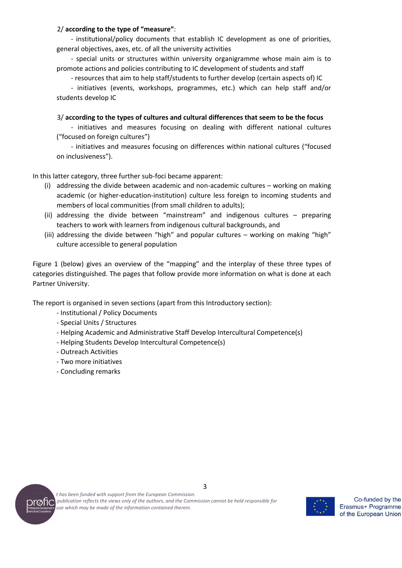#### 2/ **according to the type of "measure"**:

- institutional/policy documents that establish IC development as one of priorities, general objectives, axes, etc. of all the university activities

- special units or structures within university organigramme whose main aim is to promote actions and policies contributing to IC development of students and staff

- resources that aim to help staff/students to further develop (certain aspects of) IC

- initiatives (events, workshops, programmes, etc.) which can help staff and/or students develop IC

3/ **according to the types of cultures and cultural differences that seem to be the focus**

- initiatives and measures focusing on dealing with different national cultures ("focused on foreign cultures")

- initiatives and measures focusing on differences within national cultures ("focused on inclusiveness").

In this latter category, three further sub-foci became apparent:

- (i) addressing the divide between academic and non-academic cultures working on making academic (or higher-education-institution) culture less foreign to incoming students and members of local communities (from small children to adults);
- (ii) addressing the divide between "mainstream" and indigenous cultures preparing teachers to work with learners from indigenous cultural backgrounds, and
- (iii) addressing the divide between "high" and popular cultures working on making "high" culture accessible to general population

Figure 1 (below) gives an overview of the "mapping" and the interplay of these three types of categories distinguished. The pages that follow provide more information on what is done at each Partner University.

The report is organised in seven sections (apart from this Introductory section):

- Institutional / Policy Documents
- Special Units / Structures
- Helping Academic and Administrative Staff Develop Intercultural Competence(s)
- Helping Students Develop Intercultural Competence(s)
- Outreach Activities
- Two more initiatives
- Concluding remarks



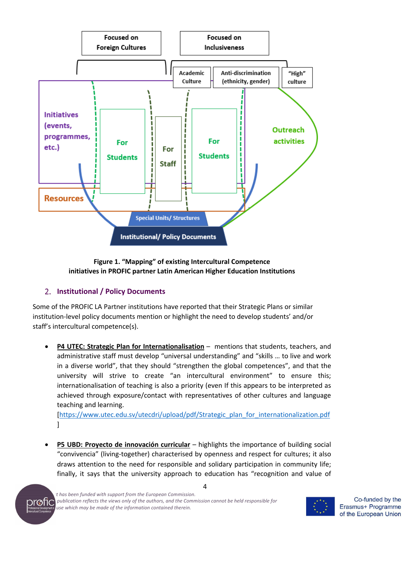

#### **Figure 1. "Mapping" of existing Intercultural Competence initiatives in PROFIC partner Latin American Higher Education Institutions**

# **Institutional / Policy Documents**

Some of the PROFIC LA Partner institutions have reported that their Strategic Plans or similar institution-level policy documents mention or highlight the need to develop students' and/or staff's intercultural competence(s).

• **P4 UTEC: Strategic Plan for Internationalisation** – mentions that students, teachers, and administrative staff must develop "universal understanding" and "skills … to live and work in a diverse world", that they should "strengthen the global competences", and that the university will strive to create "an intercultural environment" to ensure this; internationalisation of teaching is also a priority (even If this appears to be interpreted as achieved through exposure/contact with representatives of other cultures and language teaching and learning.

[https://www.utec.edu.sv/utecdri/upload/pdf/Strategic\_plan\_for\_internationalization.pdf ]

• **P5 UBD: Proyecto de innovación curricular** – highlights the importance of building social "convivencia" (living-together) characterised by openness and respect for cultures; it also draws attention to the need for responsible and solidary participation in community life; finally, it says that the university approach to education has "recognition and value of



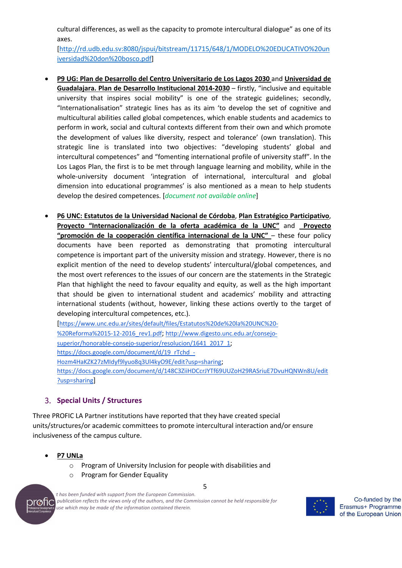cultural differences, as well as the capacity to promote intercultural dialogue" as one of its axes.

[http://rd.udb.edu.sv:8080/jspui/bitstream/11715/648/1/MODELO%20EDUCATIVO%20un iversidad%20don%20bosco.pdf]

- **P9 UG: Plan de Desarrollo del Centro Universitario de Los Lagos 2030** and **Universidad de Guadalajara. Plan de Desarrollo Institucional 2014-2030** – firstly, "inclusive and equitable university that inspires social mobility" is one of the strategic guidelines; secondly, "Internationalisation" strategic lines has as its aim 'to develop the set of cognitive and multicultural abilities called global competences, which enable students and academics to perform in work, social and cultural contexts different from their own and which promote the development of values like diversity, respect and tolerance' (own translation). This strategic line is translated into two objectives: "developing students' global and intercultural competences" and "fomenting international profile of university staff". In the Los Lagos Plan, the first is to be met through language learning and mobility, while in the whole-university document 'integration of international, intercultural and global dimension into educational programmes' is also mentioned as a mean to help students develop the desired competences. [*document not available online*]
- **P6 UNC: Estatutos de la Universidad Nacional de Córdoba**, **Plan Estratégico Participativo**, **Proyecto "Internacionalización de la oferta académica de la UNC"** and **Proyecto "promoción de la cooperación científica internacional de la UNC"** – these four policy documents have been reported as demonstrating that promoting intercultural competence is important part of the university mission and strategy. However, there is no explicit mention of the need to develop students' intercultural/global competences, and the most overt references to the issues of our concern are the statements in the Strategic Plan that highlight the need to favour equality and equity, as well as the high important that should be given to international student and academics' mobility and attracting international students (without, however, linking these actions overtly to the target of developing intercultural competences, etc.).

[https://www.unc.edu.ar/sites/default/files/Estatutos%20de%20la%20UNC%20- %20Reforma%2015-12-2016\_rev1.pdf; http://www.digesto.unc.edu.ar/consejosuperior/honorable-consejo-superior/resolucion/1641\_2017\_1; https://docs.google.com/document/d/19\_rTchd\_-Hozm4HaKZK27zMIdyf9lyuo8q3Ul4kyO9E/edit?usp=sharing; https://docs.google.com/document/d/148C3ZiiHDCcrJYTf69UUZoH29RASriuE7DvuHQNWn8U/edit ?usp=sharing]

# **Special Units / Structures**

Three PROFIC LA Partner institutions have reported that they have created special units/structures/or academic committees to promote intercultural interaction and/or ensure inclusiveness of the campus culture.

- **P7 UNLa**
	- o Program of University Inclusion for people with disabilities and
	- o Program for Gender Equality



5

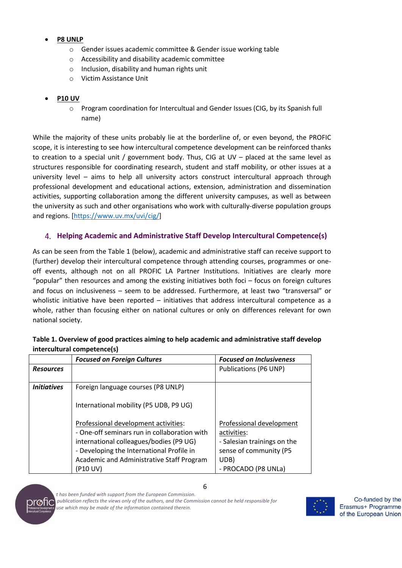## • **P8 UNLP**

- o Gender issues academic committee & Gender issue working table
- o Accessibility and disability academic committee
- o Inclusion, disability and human rights unit
- o Victim Assistance Unit

# • **P10 UV**

o Program coordination for Intercultual and Gender Issues (CIG, by its Spanish full name)

While the majority of these units probably lie at the borderline of, or even beyond, the PROFIC scope, it is interesting to see how intercultural competence development can be reinforced thanks to creation to a special unit / government body. Thus, CIG at UV – placed at the same level as structures responsible for coordinating research, student and staff mobility, or other issues at a university level – aims to help all university actors construct intercultural approach through professional development and educational actions, extension, administration and dissemination activities, supporting collaboration among the different university campuses, as well as between the university as such and other organisations who work with culturally-diverse population groups and regions. [https://www.uv.mx/uvi/cig/]

# **Helping Academic and Administrative Staff Develop Intercultural Competence(s)**

As can be seen from the Table 1 (below), academic and administrative staff can receive support to (further) develop their intercultural competence through attending courses, programmes or oneoff events, although not on all PROFIC LA Partner Institutions. Initiatives are clearly more "popular" then resources and among the existing initiatives both foci – focus on foreign cultures and focus on inclusiveness – seem to be addressed. Furthermore, at least two "transversal" or wholistic initiative have been reported – initiatives that address intercultural competence as a whole, rather than focusing either on national cultures or only on differences relevant for own national society.

|                    | <b>Focused on Foreign Cultures</b>           | <b>Focused on Inclusiveness</b> |
|--------------------|----------------------------------------------|---------------------------------|
| <b>Resources</b>   |                                              | Publications (P6 UNP)           |
|                    |                                              |                                 |
| <b>Initiatives</b> | Foreign language courses (P8 UNLP)           |                                 |
|                    |                                              |                                 |
|                    | International mobility (P5 UDB, P9 UG)       |                                 |
|                    |                                              |                                 |
|                    | Professional development activities:         | Professional development        |
|                    | - One-off seminars run in collaboration with | activities:                     |
|                    | international colleagues/bodies (P9 UG)      | - Salesian trainings on the     |
|                    | - Developing the International Profile in    | sense of community (P5          |
|                    | Academic and Administrative Staff Program    | UDB)                            |
|                    | (P10 UV)                                     | - PROCADO (P8 UNLa)             |

### **Table 1. Overview of good practices aiming to help academic and administrative staff develop intercultural competence(s)**



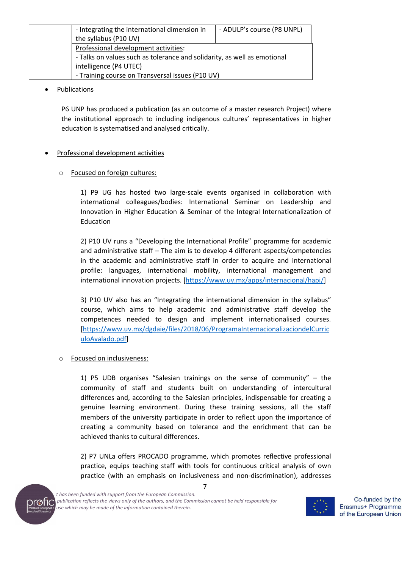| - Integrating the international dimension in                             | - ADULP's course (P8 UNPL) |
|--------------------------------------------------------------------------|----------------------------|
| the syllabus (P10 UV)                                                    |                            |
| Professional development activities:                                     |                            |
| - Talks on values such as tolerance and solidarity, as well as emotional |                            |
| intelligence (P4 UTEC)                                                   |                            |
| - Training course on Transversal issues (P10 UV)                         |                            |

#### • Publications

P6 UNP has produced a publication (as an outcome of a master research Project) where the institutional approach to including indigenous cultures' representatives in higher education is systematised and analysed critically.

#### • Professional development activities

#### o Focused on foreign cultures:

1) P9 UG has hosted two large-scale events organised in collaboration with international colleagues/bodies: International Seminar on Leadership and Innovation in Higher Education & Seminar of the Integral Internationalization of Education

2) P10 UV runs a "Developing the International Profile" programme for academic and administrative staff – The aim is to develop 4 different aspects/competencies in the academic and administrative staff in order to acquire and international profile: languages, international mobility, international management and international innovation projects. [https://www.uv.mx/apps/internacional/hapi/]

3) P10 UV also has an "Integrating the international dimension in the syllabus" course, which aims to help academic and administrative staff develop the competences needed to design and implement internationalised courses. [https://www.uv.mx/dgdaie/files/2018/06/ProgramaInternacionalizaciondelCurric uloAvalado.pdf]

#### o Focused on inclusiveness:

1) P5 UDB organises "Salesian trainings on the sense of community" – the community of staff and students built on understanding of intercultural differences and, according to the Salesian principles, indispensable for creating a genuine learning environment. During these training sessions, all the staff members of the university participate in order to reflect upon the importance of creating a community based on tolerance and the enrichment that can be achieved thanks to cultural differences.

2) P7 UNLa offers PROCADO programme, which promotes reflective professional practice, equips teaching staff with tools for continuous critical analysis of own practice (with an emphasis on inclusiveness and non-discrimination), addresses

7



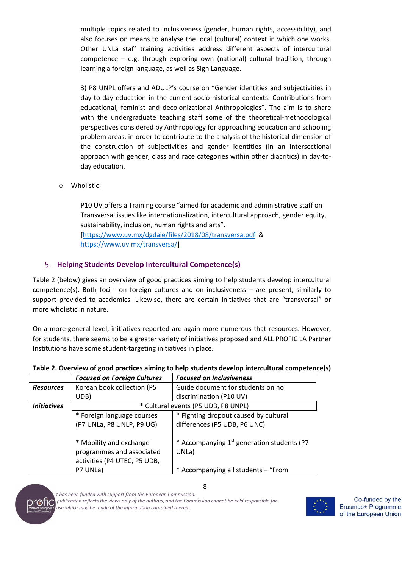multiple topics related to inclusiveness (gender, human rights, accessibility), and also focuses on means to analyse the local (cultural) context in which one works. Other UNLa staff training activities address different aspects of intercultural competence – e.g. through exploring own (national) cultural tradition, through learning a foreign language, as well as Sign Language.

3) P8 UNPL offers and ADULP's course on "Gender identities and subjectivities in day-to-day education in the current socio-historical contexts. Contributions from educational, feminist and decolonizational Anthropologies". The aim is to share with the undergraduate teaching staff some of the theoretical-methodological perspectives considered by Anthropology for approaching education and schooling problem areas, in order to contribute to the analysis of the historical dimension of the construction of subjectivities and gender identities (in an intersectional approach with gender, class and race categories within other diacritics) in day-today education.

o Wholistic:

P10 UV offers a Training course "aimed for academic and administrative staff on Transversal issues like internationalization, intercultural approach, gender equity, sustainability, inclusion, human rights and arts". [https://www.uv.mx/dgdaie/files/2018/08/transversa.pdf & https://www.uv.mx/transversa/]

# **Helping Students Develop Intercultural Competence(s)**

Table 2 (below) gives an overview of good practices aiming to help students develop intercultural competence(s). Both foci - on foreign cultures and on inclusiveness – are present, similarly to support provided to academics. Likewise, there are certain initiatives that are "transversal" or more wholistic in nature.

On a more general level, initiatives reported are again more numerous that resources. However, for students, there seems to be a greater variety of initiatives proposed and ALL PROFIC LA Partner Institutions have some student-targeting initiatives in place.

|                                                           | <b>Focused on Foreign Cultures</b>                                                   | <b>Focused on Inclusiveness</b>                                 |
|-----------------------------------------------------------|--------------------------------------------------------------------------------------|-----------------------------------------------------------------|
| <b>Resources</b>                                          | Korean book collection (P5                                                           | Guide document for students on no                               |
|                                                           | UDB)                                                                                 | discrimination (P10 UV)                                         |
| * Cultural events (P5 UDB, P8 UNPL)<br><b>Initiatives</b> |                                                                                      |                                                                 |
|                                                           | * Foreign language courses                                                           | * Fighting dropout caused by cultural                           |
|                                                           | (P7 UNLa, P8 UNLP, P9 UG)                                                            | differences (P5 UDB, P6 UNC)                                    |
|                                                           | * Mobility and exchange<br>programmes and associated<br>activities (P4 UTEC, P5 UDB, | * Accompanying 1 <sup>st</sup> generation students (P7<br>UNLa) |
|                                                           | P7 UNLa)                                                                             | * Accompanying all students - "From                             |

#### **Table 2. Overview of good practices aiming to help students develop intercultural competence(s)**



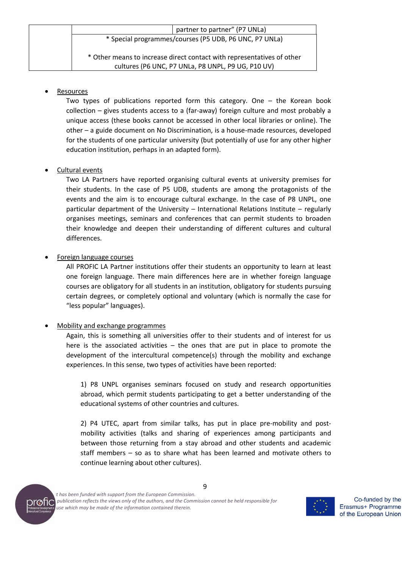| partner to partner" (P7 UNLa)                                          |  |  |
|------------------------------------------------------------------------|--|--|
| * Special programmes/courses (P5 UDB, P6 UNC, P7 UNLa)                 |  |  |
| * Other means to increase direct contact with representatives of other |  |  |
| cultures (P6 UNC, P7 UNLa, P8 UNPL, P9 UG, P10 UV)                     |  |  |

#### **Resources**

Two types of publications reported form this category. One – the Korean book collection – gives students access to a (far-away) foreign culture and most probably a unique access (these books cannot be accessed in other local libraries or online). The other – a guide document on No Discrimination, is a house-made resources, developed for the students of one particular university (but potentially of use for any other higher education institution, perhaps in an adapted form).

### • Cultural events

Two LA Partners have reported organising cultural events at university premises for their students. In the case of P5 UDB, students are among the protagonists of the events and the aim is to encourage cultural exchange. In the case of P8 UNPL, one particular department of the University – International Relations Institute – regularly organises meetings, seminars and conferences that can permit students to broaden their knowledge and deepen their understanding of different cultures and cultural differences.

### • Foreign language courses

All PROFIC LA Partner institutions offer their students an opportunity to learn at least one foreign language. There main differences here are in whether foreign language courses are obligatory for all students in an institution, obligatory for students pursuing certain degrees, or completely optional and voluntary (which is normally the case for "less popular" languages).

#### • Mobility and exchange programmes

Again, this is something all universities offer to their students and of interest for us here is the associated activities – the ones that are put in place to promote the development of the intercultural competence(s) through the mobility and exchange experiences. In this sense, two types of activities have been reported:

1) P8 UNPL organises seminars focused on study and research opportunities abroad, which permit students participating to get a better understanding of the educational systems of other countries and cultures.

2) P4 UTEC, apart from similar talks, has put in place pre-mobility and postmobility activities (talks and sharing of experiences among participants and between those returning from a stay abroad and other students and academic staff members – so as to share what has been learned and motivate others to continue learning about other cultures).



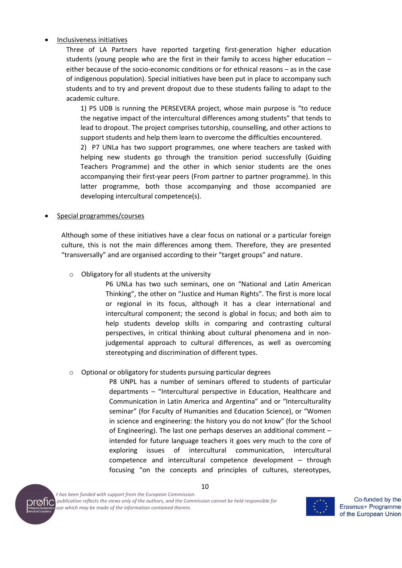#### • Inclusiveness initiatives

Three of LA Partners have reported targeting first-generation higher education students (young people who are the first in their family to access higher education – either because of the socio-economic conditions or for ethnical reasons – as in the case of indigenous population). Special initiatives have been put in place to accompany such students and to try and prevent dropout due to these students failing to adapt to the academic culture.

1) P5 UDB is running the PERSEVERA project, whose main purpose is "to reduce the negative impact of the intercultural differences among students" that tends to lead to dropout. The project comprises tutorship, counselling, and other actions to support students and help them learn to overcome the difficulties encountered.

2) P7 UNLa has two support programmes, one where teachers are tasked with helping new students go through the transition period successfully (Guiding Teachers Programme) and the other in which senior students are the ones accompanying their first-year peers (From partner to partner programme). In this latter programme, both those accompanying and those accompanied are developing intercultural competence(s).

#### • Special programmes/courses

Although some of these initiatives have a clear focus on national or a particular foreign culture, this is not the main differences among them. Therefore, they are presented "transversally" and are organised according to their "target groups" and nature.

o Obligatory for all students at the university

P6 UNLa has two such seminars, one on "National and Latin American Thinking", the other on "Justice and Human Rights". The first is more local or regional in its focus, although it has a clear international and intercultural component; the second is global in focus; and both aim to help students develop skills in comparing and contrasting cultural perspectives, in critical thinking about cultural phenomena and in nonjudgemental approach to cultural differences, as well as overcoming stereotyping and discrimination of different types.

#### o Optional or obligatory for students pursuing particular degrees

P8 UNPL has a number of seminars offered to students of particular departments – "Intercultural perspective in Education, Healthcare and Communication in Latin America and Argentina" and or "Interculturality seminar" (for Faculty of Humanities and Education Science), or "Women in science and engineering: the history you do not know" (for the School of Engineering). The last one perhaps deserves an additional comment – intended for future language teachers it goes very much to the core of exploring issues of intercultural communication, intercultural competence and intercultural competence development – through focusing "on the concepts and principles of cultures, stereotypes,



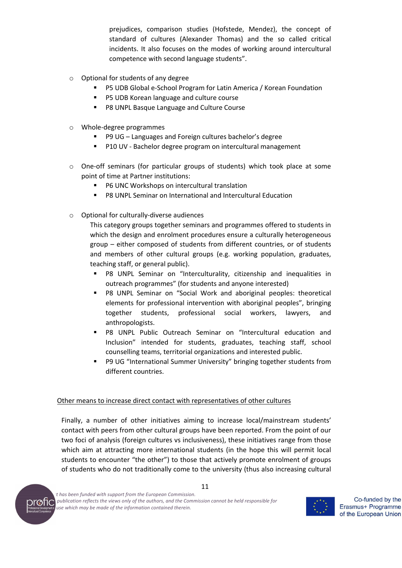prejudices, comparison studies (Hofstede, Mendez), the concept of standard of cultures (Alexander Thomas) and the so called critical incidents. It also focuses on the modes of working around intercultural competence with second language students".

- o Optional for students of any degree
	- P5 UDB Global e-School Program for Latin America / Korean Foundation
	- P5 UDB Korean language and culture course
	- P8 UNPL Basque Language and Culture Course
- o Whole-degree programmes
	- P9 UG Languages and Foreign cultures bachelor's degree
	- P10 UV Bachelor degree program on intercultural management
- $\circ$  One-off seminars (for particular groups of students) which took place at some point of time at Partner institutions:
	- § P6 UNC Workshops on intercultural translation
	- P8 UNPL Seminar on International and Intercultural Education
- o Optional for culturally-diverse audiences

This category groups together seminars and programmes offered to students in which the design and enrolment procedures ensure a culturally heterogeneous group – either composed of students from different countries, or of students and members of other cultural groups (e.g. working population, graduates, teaching staff, or general public).

- § P8 UNPL Seminar on "Interculturality, citizenship and inequalities in outreach programmes" (for students and anyone interested)
- § P8 UNPL Seminar on "Social Work and aboriginal peoples: theoretical elements for professional intervention with aboriginal peoples", bringing together students, professional social workers, lawyers, and anthropologists.
- § P8 UNPL Public Outreach Seminar on "Intercultural education and Inclusion" intended for students, graduates, teaching staff, school counselling teams, territorial organizations and interested public.
- § P9 UG "International Summer University" bringing together students from different countries.

#### Other means to increase direct contact with representatives of other cultures

Finally, a number of other initiatives aiming to increase local/mainstream students' contact with peers from other cultural groups have been reported. From the point of our two foci of analysis (foreign cultures vs inclusiveness), these initiatives range from those which aim at attracting more international students (in the hope this will permit local students to encounter "the other") to those that actively promote enrolment of groups of students who do not traditionally come to the university (thus also increasing cultural



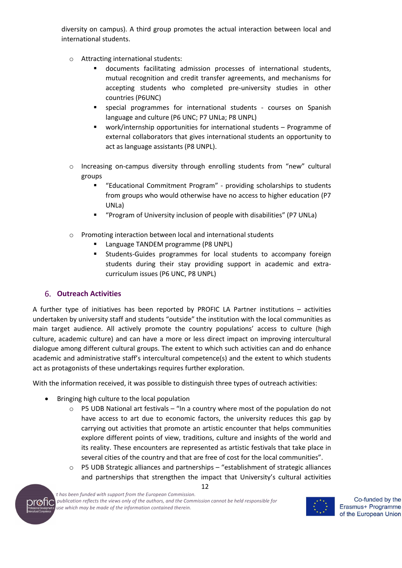diversity on campus). A third group promotes the actual interaction between local and international students.

- o Attracting international students:
	- documents facilitating admission processes of international students, mutual recognition and credit transfer agreements, and mechanisms for accepting students who completed pre-university studies in other countries (P6UNC)
	- § special programmes for international students courses on Spanish language and culture (P6 UNC; P7 UNLa; P8 UNPL)
	- § work/internship opportunities for international students Programme of external collaborators that gives international students an opportunity to act as language assistants (P8 UNPL).
- o Increasing on-campus diversity through enrolling students from "new" cultural groups
	- § "Educational Commitment Program" providing scholarships to students from groups who would otherwise have no access to higher education (P7 UNLa)
	- "Program of University inclusion of people with disabilities" (P7 UNLa)
- o Promoting interaction between local and international students
	- § Language TANDEM programme (P8 UNPL)
	- § Students-Guides programmes for local students to accompany foreign students during their stay providing support in academic and extracurriculum issues (P6 UNC, P8 UNPL)

# **Outreach Activities**

A further type of initiatives has been reported by PROFIC LA Partner institutions – activities undertaken by university staff and students "outside" the institution with the local communities as main target audience. All actively promote the country populations' access to culture (high culture, academic culture) and can have a more or less direct impact on improving intercultural dialogue among different cultural groups. The extent to which such activities can and do enhance academic and administrative staff's intercultural competence(s) and the extent to which students act as protagonists of these undertakings requires further exploration.

With the information received, it was possible to distinguish three types of outreach activities:

- Bringing high culture to the local population
	- $\circ$  P5 UDB National art festivals "In a country where most of the population do not have access to art due to economic factors, the university reduces this gap by carrying out activities that promote an artistic encounter that helps communities explore different points of view, traditions, culture and insights of the world and its reality. These encounters are represented as artistic festivals that take place in several cities of the country and that are free of cost for the local communities".
	- o P5 UDB Strategic alliances and partnerships "establishment of strategic alliances and partnerships that strengthen the impact that University's cultural activities



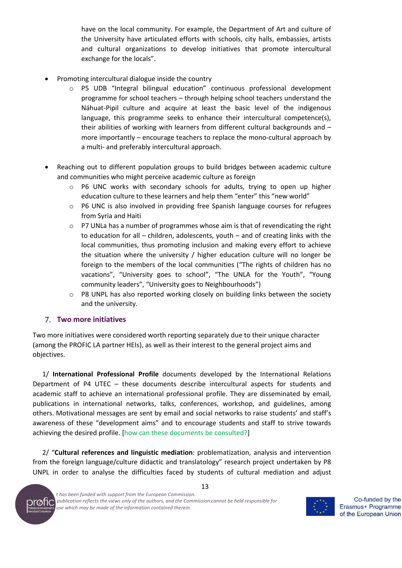have on the local community. For example, the Department of Art and culture of the University have articulated efforts with schools, city halls, embassies, artists and cultural organizations to develop initiatives that promote intercultural exchange for the locals".

- Promoting intercultural dialogue inside the country
	- P5 UDB "Integral bilingual education" continuous professional development programme for school teachers – through helping school teachers understand the Náhuat-Pipil culture and acquire at least the basic level of the indigenous language, this programme seeks to enhance their intercultural competence(s), their abilities of working with learners from different cultural backgrounds and – more importantly – encourage teachers to replace the mono-cultural approach by a multi- and preferably intercultural approach.
- Reaching out to different population groups to build bridges between academic culture and communities who might perceive academic culture as foreign
	- o P6 UNC works with secondary schools for adults, trying to open up higher education culture to these learners and help them "enter" this "new world"
	- $\circ$  P6 UNC is also involved in providing free Spanish language courses for refugees from Syria and Haiti
	- $\circ$  P7 UNLa has a number of programmes whose aim is that of revendicating the right to education for all – children, adolescents, youth – and of creating links with the local communities, thus promoting inclusion and making every effort to achieve the situation where the university / higher education culture will no longer be foreign to the members of the local communities ("The rights of children has no vacations", "University goes to school", "The UNLA for the Youth", "Young community leaders", "University goes to Neighbourhoods")
	- $\circ$  P8 UNPL has also reported working closely on building links between the society and the university.

#### **Two more initiatives**

Two more initiatives were considered worth reporting separately due to their unique character (among the PROFIC LA partner HEIs), as well as their interest to the general project aims and objectives.

1/ **International Professional Profile** documents developed by the International Relations Department of P4 UTEC – these documents describe intercultural aspects for students and academic staff to achieve an international professional profile. They are disseminated by email, publications in international networks, talks, conferences, workshop, and guidelines, among others. Motivational messages are sent by email and social networks to raise students' and staff's awareness of these "development aims" and to encourage students and staff to strive towards achieving the desired profile. [how can these documents be consulted?]

2/ "**Cultural references and linguistic mediation**: problematization, analysis and intervention from the foreign language/culture didactic and translatology" research project undertaken by P8 UNPL in order to analyse the difficulties faced by students of cultural mediation and adjust

13



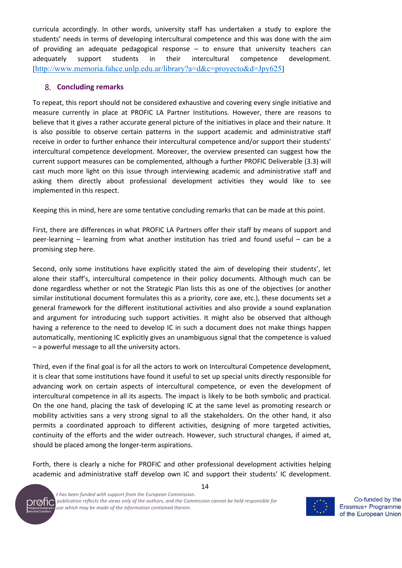curricula accordingly. In other words, university staff has undertaken a study to explore the students' needs in terms of developing intercultural competence and this was done with the aim of providing an adequate pedagogical response – to ensure that university teachers can adequately support students in their intercultural competence development. [http://www.memoria.fahce.unlp.edu.ar/library?a=d&c=proyecto&d=Jpy625]

#### **Concluding remarks**

To repeat, this report should not be considered exhaustive and covering every single initiative and measure currently in place at PROFIC LA Partner Institutions. However, there are reasons to believe that it gives a rather accurate general picture of the initiatives in place and their nature. It is also possible to observe certain patterns in the support academic and administrative staff receive in order to further enhance their intercultural competence and/or support their students' intercultural competence development. Moreover, the overview presented can suggest how the current support measures can be complemented, although a further PROFIC Deliverable (3.3) will cast much more light on this issue through interviewing academic and administrative staff and asking them directly about professional development activities they would like to see implemented in this respect.

Keeping this in mind, here are some tentative concluding remarks that can be made at this point.

First, there are differences in what PROFIC LA Partners offer their staff by means of support and peer-learning – learning from what another institution has tried and found useful – can be a promising step here.

Second, only some institutions have explicitly stated the aim of developing their students', let alone their staff's, intercultural competence in their policy documents. Although much can be done regardless whether or not the Strategic Plan lists this as one of the objectives (or another similar institutional document formulates this as a priority, core axe, etc.), these documents set a general framework for the different institutional activities and also provide a sound explanation and argument for introducing such support activities. It might also be observed that although having a reference to the need to develop IC in such a document does not make things happen automatically, mentioning IC explicitly gives an unambiguous signal that the competence is valued – a powerful message to all the university actors.

Third, even if the final goal is for all the actors to work on Intercultural Competence development, it is clear that some institutions have found it useful to set up special units directly responsible for advancing work on certain aspects of intercultural competence, or even the development of intercultural competence in all its aspects. The impact is likely to be both symbolic and practical. On the one hand, placing the task of developing IC at the same level as promoting research or mobility activities sans a very strong signal to all the stakeholders. On the other hand, it also permits a coordinated approach to different activities, designing of more targeted activities, continuity of the efforts and the wider outreach. However, such structural changes, if aimed at, should be placed among the longer-term aspirations.

Forth, there is clearly a niche for PROFIC and other professional development activities helping academic and administrative staff develop own IC and support their students' IC development.